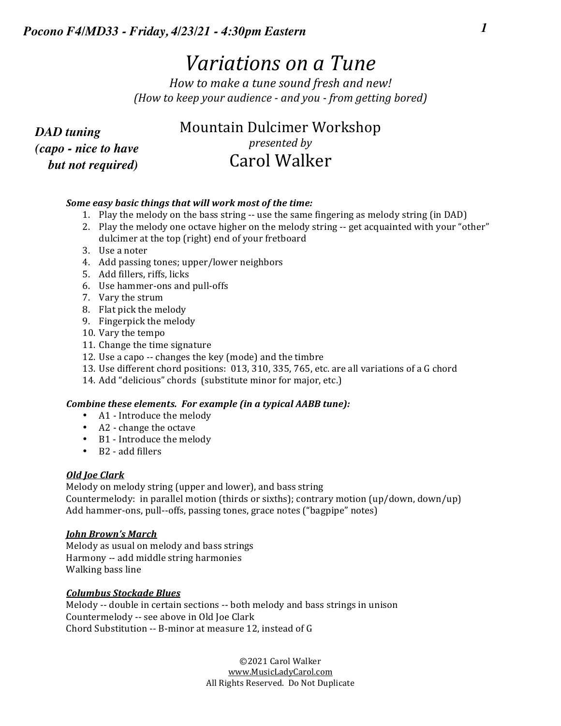# *Variations* on a Tune

| ocono F4/MD33 - Friday, 4/23/21 - 4:30pm Eastern<br><i>Variations on a Tune</i><br>How to make a tune sound fresh and new! |                                                            |  |
|----------------------------------------------------------------------------------------------------------------------------|------------------------------------------------------------|--|
|                                                                                                                            |                                                            |  |
| <b>DAD</b> tuning<br>(capo - nice to have<br>but not required)                                                             | Mountain Dulcimer Workshop<br>presented by<br>Carol Walker |  |

### *Some easy basic things that will work most of the time:*

- 1. Play the melody on the bass string -- use the same fingering as melody string (in DAD)
- 2. Play the melody one octave higher on the melody string -- get acquainted with your "other" dulcimer at the top (right) end of your fretboard
- 3. Use a noter
- 4. Add passing tones; upper/lower neighbors
- 5. Add fillers, riffs, licks
- 6. Use hammer-ons and pull-offs
- 7. Vary the strum
- 8. Flat pick the melody
- 9. Fingerpick the melody
- 10. Vary the tempo
- 11. Change the time signature
- 12. Use a capo -- changes the key (mode) and the timbre
- 13. Use different chord positions: 013, 310, 335, 765, etc. are all variations of a G chord
- 14. Add "delicious" chords (substitute minor for major, etc.)

### *Combine these elements. For example (in a typical AABB tune):*

- A1 Introduce the melody
- A2 change the octave
- B1 Introduce the melody
- B2 add fillers

### *Old Joe Clark*

Melody on melody string (upper and lower), and bass string Countermelody: in parallel motion (thirds or sixths); contrary motion (up/down, down/up) Add hammer-ons, pull--offs, passing tones, grace notes ("bagpipe" notes)

### *John Brown's March*

Melody as usual on melody and bass strings Harmony -- add middle string harmonies Walking bass line

### *Columbus Stockade Blues*

Melody -- double in certain sections -- both melody and bass strings in unison Countermelody -- see above in Old Joe Clark Chord Substitution -- B-minor at measure 12, instead of G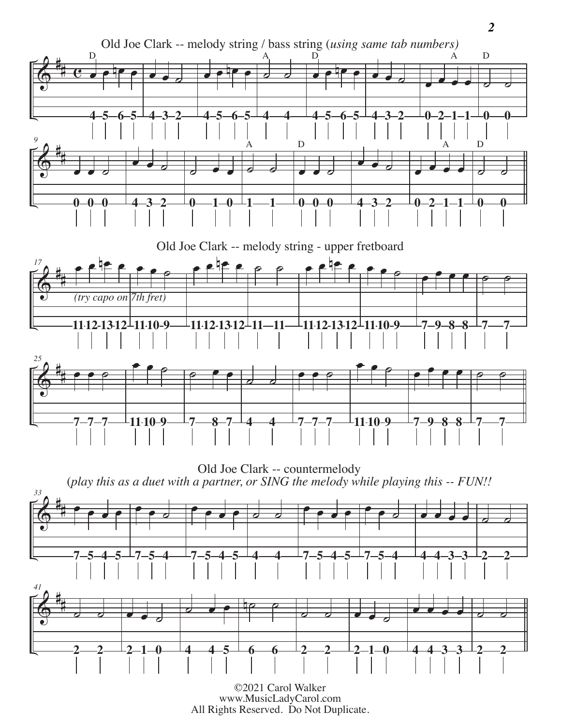

<sup>©2021</sup> Carol Walker www.MusicLadyCarol.com<br>All Rights Reserved. Do Not Duplicate.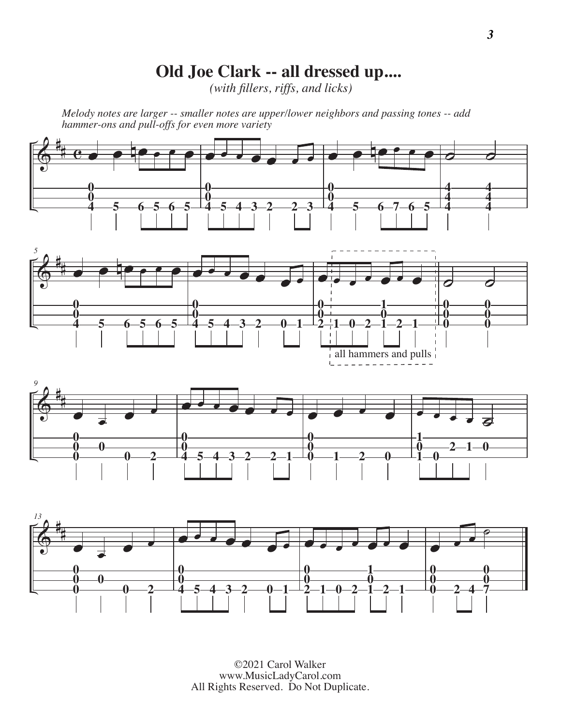### **Old Joe Clark -- all dressed up....**

*(with fillers, riffs, and licks)*

*Melody notes are larger -- smaller notes are upper/lower neighbors and passing tones -- add hammer-ons and pull-offs for even more variety*

![](_page_2_Figure_3.jpeg)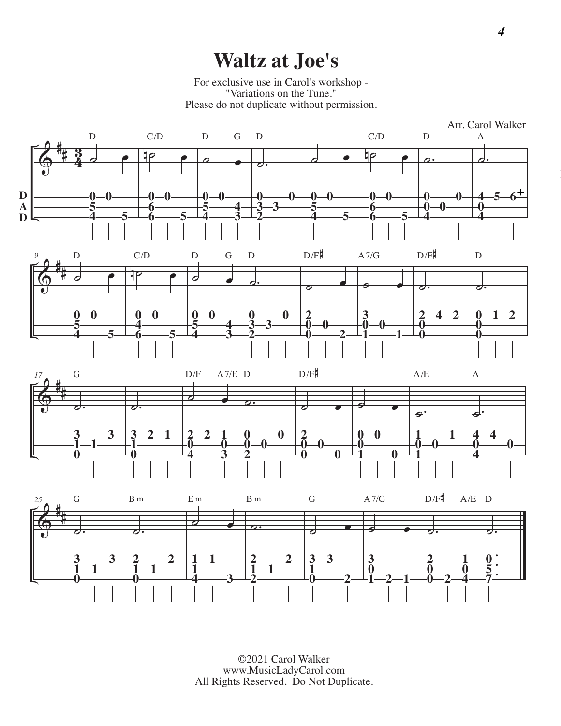## **Waltz at Joe's**

For exclusive use in Carol's workshop - "Variations on the Tune." Please do not duplicate without permission.

![](_page_3_Figure_2.jpeg)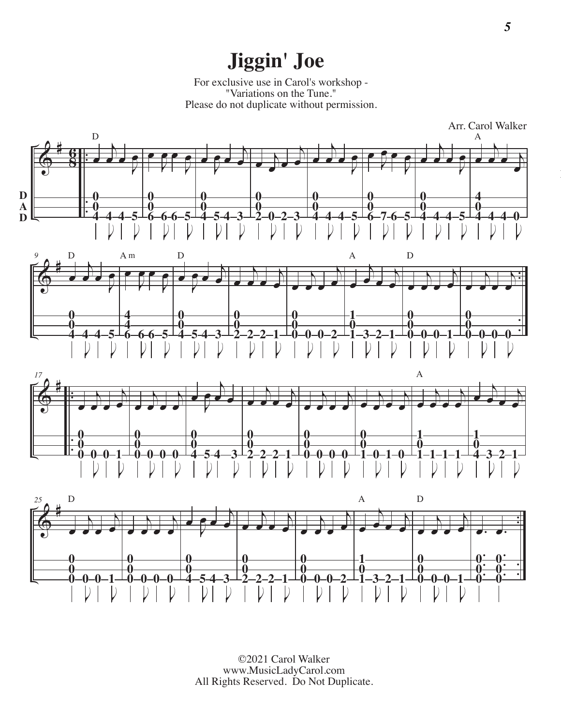# **Jiggin' Joe**

For exclusive use in Carol's workshop - "Variations on the Tune." Please do not duplicate without permission.

![](_page_4_Figure_2.jpeg)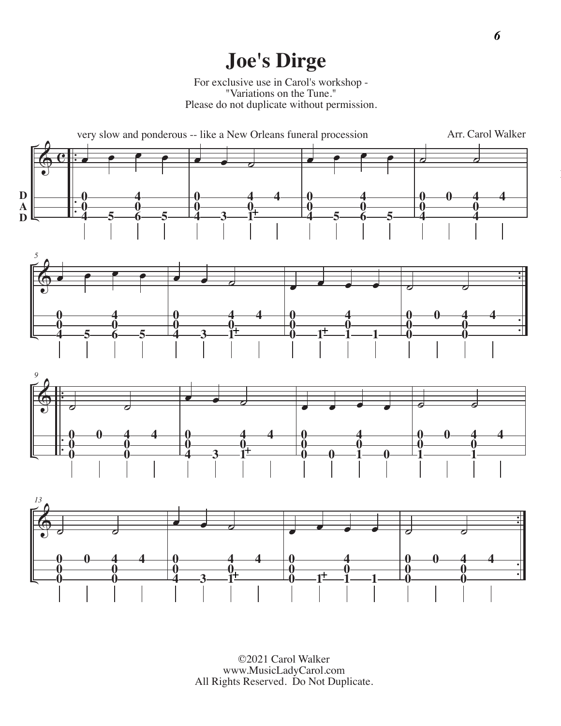# **Joe's Dirge**

For exclusive use in Carol's workshop - "Variations on the Tune." Please do not duplicate without permission.

![](_page_5_Figure_2.jpeg)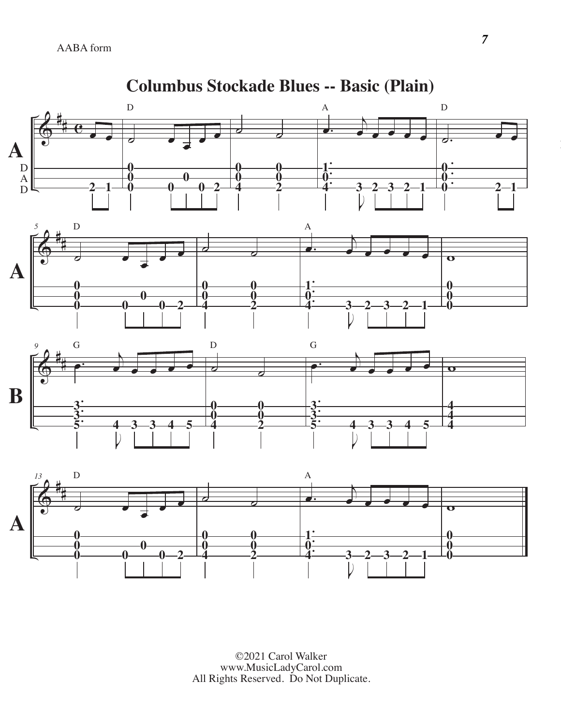![](_page_6_Figure_1.jpeg)

**Columbus Stockade Blues -- Basic (Plain)**

©2021 Carol Walker www.MusicLadyCarol.com All Rights Reserved. Do Not Duplicate.

i)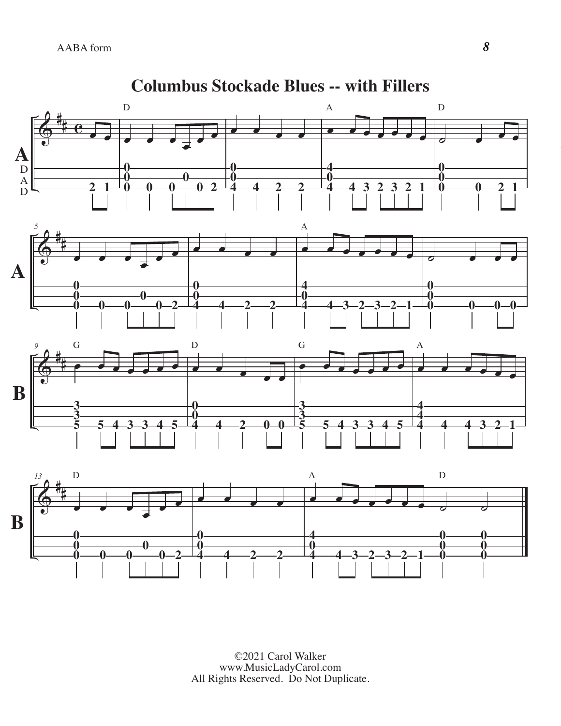![](_page_7_Figure_1.jpeg)

**Columbus Stockade Blues -- with Fillers**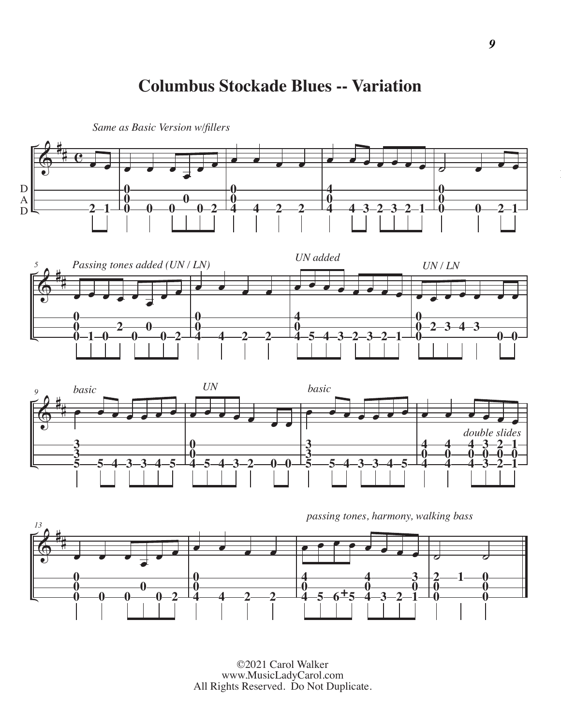### **Columbus Stockade Blues -- Variation**

![](_page_8_Figure_1.jpeg)

![](_page_8_Figure_2.jpeg)

![](_page_8_Figure_3.jpeg)

![](_page_8_Figure_4.jpeg)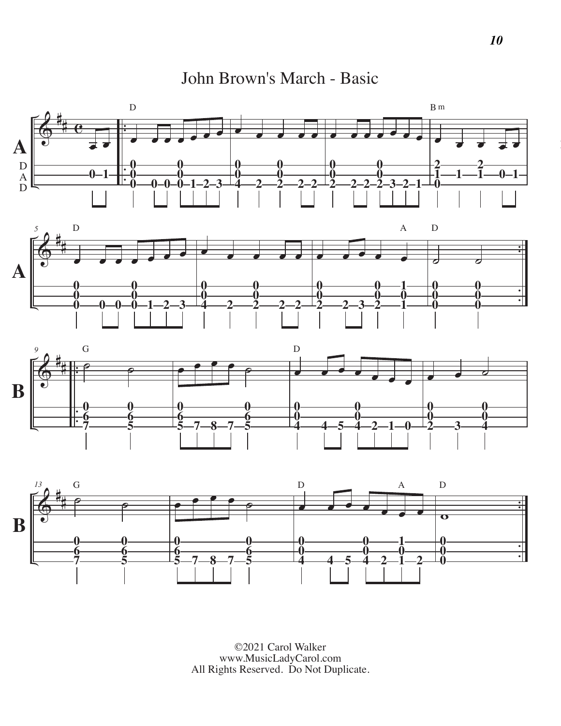John Brown's March - Basic

![](_page_9_Figure_1.jpeg)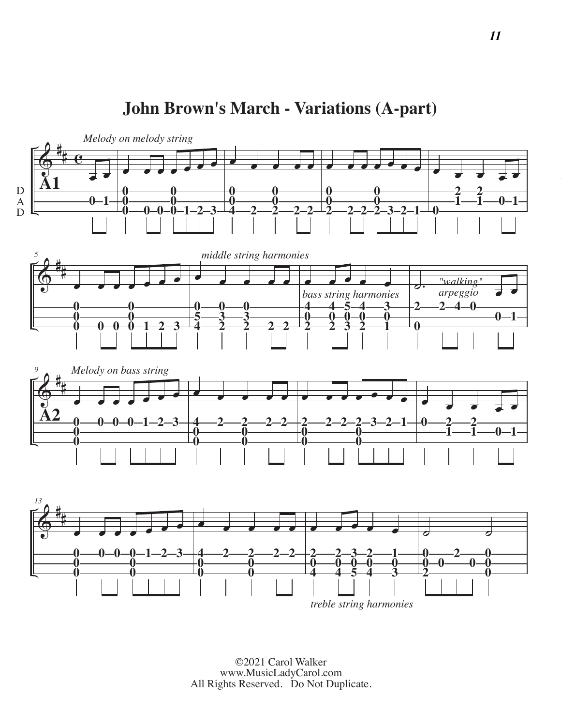#### $\frac{2}{9}$  $#e$  $\frac{1}{2}$  $0 - 1$ œ œ œ œ œ œ œ -0-0  $1 - 2 - 3$ ———————<br>● **2 2** œ œ œ œ œ œ œ **2 2**  $3 - 2 - 1$ œ œ œ œ œ  $0 - 1$  $\frac{2}{9}$ #  $\overline{a}$  -**0** -**0**   $1 - 2 - 3$ œ œ œ œ œ **2**  $e$   $e$   $e$   $e$  d. "walking" **areal expression to the control of the control of the control of the control of the control of the control of the control of the control of the control of the control of the control of the control of the cont 2 4 0**  $0 - 1$  $\frac{2}{9}$ #  $\overrightarrow{a}$  **0 0 0 1 2 3** ———————<br>● **2 2 2** œ œ œ œ œ œ œ **2 2 3 2 1** œ œ œ œ œ  $0 - 1$  $\frac{\partial}{\partial \theta}$ #  $\overline{a}$  **0 0**  $-1$   $-2$   $-3$ œ œ œ œ œ **2 2 2** œ œ œ œ œ  $\overline{\sigma}$   $\overline{\sigma}$  *Melody on melody string middle string harmonies bass string harmonies Melody on bass string "walking"* **A1 A2** D A D

**John Brown's March - Variations (A-part)**

©2021 Carol Walker www.MusicLadyCarol.com All Rights Reserved. Do Not Duplicate.

*treble string harmonies*